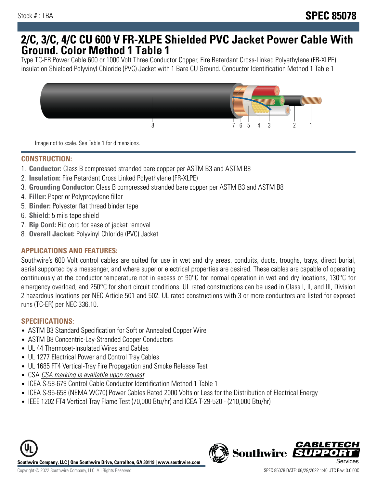## **2/C, 3/C, 4/C CU 600 V FR-XLPE Shielded PVC Jacket Power Cable With Ground. Color Method 1 Table 1**

Type TC-ER Power Cable 600 or 1000 Volt Three Conductor Copper, Fire Retardant Cross-Linked Polyethylene (FR-XLPE) insulation Shielded Polyvinyl Chloride (PVC) Jacket with 1 Bare CU Ground. Conductor Identification Method 1 Table 1



Image not to scale. See Table 1 for dimensions.

#### **CONSTRUCTION:**

- 1. **Conductor:** Class B compressed stranded bare copper per ASTM B3 and ASTM B8
- 2. **Insulation:** Fire Retardant Cross Linked Polyethylene (FR-XLPE)
- 3. **Grounding Conductor:** Class B compressed stranded bare copper per ASTM B3 and ASTM B8
- 4. **Filler:** Paper or Polypropylene filler
- 5. **Binder:** Polyester flat thread binder tape
- 6. **Shield:** 5 mils tape shield
- 7. **Rip Cord:** Rip cord for ease of jacket removal
- 8. **Overall Jacket:** Polyvinyl Chloride (PVC) Jacket

#### **APPLICATIONS AND FEATURES:**

Southwire's 600 Volt control cables are suited for use in wet and dry areas, conduits, ducts, troughs, trays, direct burial, aerial supported by a messenger, and where superior electrical properties are desired. These cables are capable of operating continuously at the conductor temperature not in excess of 90°C for normal operation in wet and dry locations, 130°C for emergency overload, and 250°C for short circuit conditions. UL rated constructions can be used in Class I, II, and III, Division 2 hazardous locations per NEC Article 501 and 502. UL rated constructions with 3 or more conductors are listed for exposed runs (TC-ER) per NEC 336.10.

#### **SPECIFICATIONS:**

- ASTM B3 Standard Specification for Soft or Annealed Copper Wire
- ASTM B8 Concentric-Lay-Stranded Copper Conductors
- UL 44 Thermoset-Insulated Wires and Cables
- UL 1277 Electrical Power and Control Tray Cables
- UL 1685 FT4 Vertical-Tray Fire Propagation and Smoke Release Test
- CSA CSA marking is available upon request
- ICEA S-58-679 Control Cable Conductor Identification Method 1 Table 1
- ICEA S-95-658 (NEMA WC70) Power Cables Rated 2000 Volts or Less for the Distribution of Electrical Energy
- IEEE 1202 FT4 Vertical Tray Flame Test (70,000 Btu/hr) and ICEA T-29-520 (210,000 Btu/hr)



**Southwire** 

*CABLET*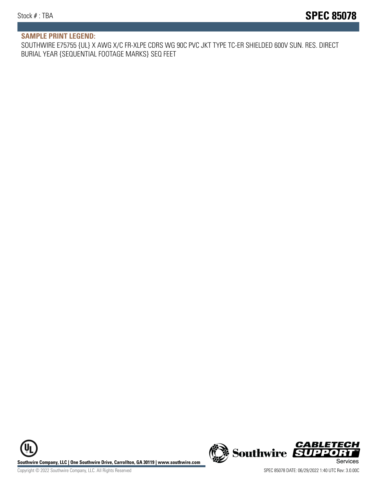#### **SAMPLE PRINT LEGEND:**

SOUTHWIRE E75755 {UL} X AWG X/C FR-XLPE CDRS WG 90C PVC JKT TYPE TC-ER SHIELDED 600V SUN. RES. DIRECT BURIAL YEAR {SEQUENTIAL FOOTAGE MARKS} SEQ FEET

UL **Southwire Company, LLC | One Southwire Drive, Carrollton, GA 30119 | www.southwire.com (New Southwire SUPPORTI**